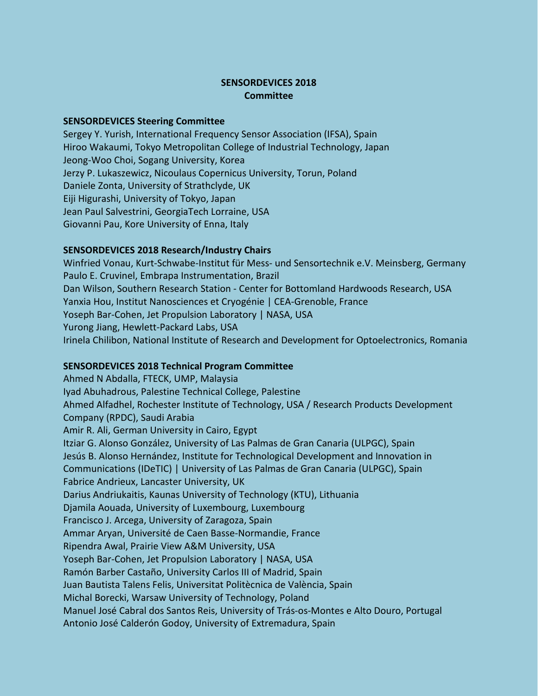## **SENSORDEVICES 2018 Committee**

## **SENSORDEVICES Steering Committee**

Sergey Y. Yurish, International Frequency Sensor Association (IFSA), Spain Hiroo Wakaumi, Tokyo Metropolitan College of Industrial Technology, Japan Jeong-Woo Choi, Sogang University, Korea Jerzy P. Lukaszewicz, Nicoulaus Copernicus University, Torun, Poland Daniele Zonta, University of Strathclyde, UK Eiji Higurashi, University of Tokyo, Japan Jean Paul Salvestrini, GeorgiaTech Lorraine, USA Giovanni Pau, Kore University of Enna, Italy

## **SENSORDEVICES 2018 Research/Industry Chairs**

Winfried Vonau, Kurt-Schwabe-Institut für Mess- und Sensortechnik e.V. Meinsberg, Germany Paulo E. Cruvinel, Embrapa Instrumentation, Brazil Dan Wilson, Southern Research Station - Center for Bottomland Hardwoods Research, USA Yanxia Hou, Institut Nanosciences et Cryogénie | CEA-Grenoble, France Yoseph Bar-Cohen, Jet Propulsion Laboratory | NASA, USA Yurong Jiang, Hewlett-Packard Labs, USA Irinela Chilibon, National Institute of Research and Development for Optoelectronics, Romania

## **SENSORDEVICES 2018 Technical Program Committee**

Ahmed N Abdalla, FTECK, UMP, Malaysia Iyad Abuhadrous, Palestine Technical College, Palestine Ahmed Alfadhel, Rochester Institute of Technology, USA / Research Products Development Company (RPDC), Saudi Arabia Amir R. Ali, German University in Cairo, Egypt Itziar G. Alonso González, University of Las Palmas de Gran Canaria (ULPGC), Spain Jesús B. Alonso Hernández, Institute for Technological Development and Innovation in Communications (IDeTIC) | University of Las Palmas de Gran Canaria (ULPGC), Spain Fabrice Andrieux, Lancaster University, UK Darius Andriukaitis, Kaunas University of Technology (KTU), Lithuania Djamila Aouada, University of Luxembourg, Luxembourg Francisco J. Arcega, University of Zaragoza, Spain Ammar Aryan, Université de Caen Basse-Normandie, France Ripendra Awal, Prairie View A&M University, USA Yoseph Bar-Cohen, Jet Propulsion Laboratory | NASA, USA Ramón Barber Castaño, University Carlos III of Madrid, Spain Juan Bautista Talens Felis, Universitat Politècnica de València, Spain Michal Borecki, Warsaw University of Technology, Poland Manuel José Cabral dos Santos Reis, University of Trás-os-Montes e Alto Douro, Portugal Antonio José Calderón Godoy, University of Extremadura, Spain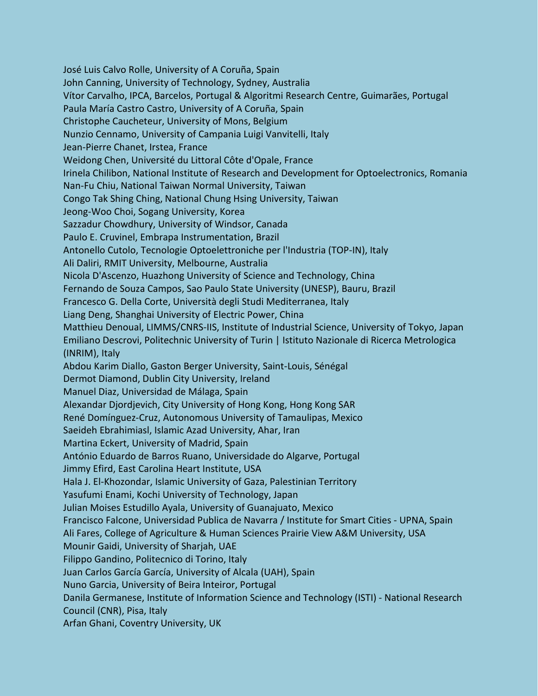José Luis Calvo Rolle, University of A Coruña, Spain John Canning, University of Technology, Sydney, Australia Vítor Carvalho, IPCA, Barcelos, Portugal & Algoritmi Research Centre, Guimarães, Portugal Paula María Castro Castro, University of A Coruña, Spain Christophe Caucheteur, University of Mons, Belgium Nunzio Cennamo, University of Campania Luigi Vanvitelli, Italy Jean-Pierre Chanet, Irstea, France Weidong Chen, Université du Littoral Côte d'Opale, France Irinela Chilibon, National Institute of Research and Development for Optoelectronics, Romania Nan-Fu Chiu, National Taiwan Normal University, Taiwan Congo Tak Shing Ching, National Chung Hsing University, Taiwan Jeong-Woo Choi, Sogang University, Korea Sazzadur Chowdhury, University of Windsor, Canada Paulo E. Cruvinel, Embrapa Instrumentation, Brazil Antonello Cutolo, Tecnologie Optoelettroniche per l'Industria (TOP-IN), Italy Ali Daliri, RMIT University, Melbourne, Australia Nicola D'Ascenzo, Huazhong University of Science and Technology, China Fernando de Souza Campos, Sao Paulo State University (UNESP), Bauru, Brazil Francesco G. Della Corte, Università degli Studi Mediterranea, Italy Liang Deng, Shanghai University of Electric Power, China Matthieu Denoual, LIMMS/CNRS-IIS, Institute of Industrial Science, University of Tokyo, Japan Emiliano Descrovi, Politechnic University of Turin | Istituto Nazionale di Ricerca Metrologica (INRIM), Italy Abdou Karim Diallo, Gaston Berger University, Saint-Louis, Sénégal Dermot Diamond, Dublin City University, Ireland Manuel Diaz, Universidad de Málaga, Spain Alexandar Djordjevich, City University of Hong Kong, Hong Kong SAR René Domínguez-Cruz, Autonomous University of Tamaulipas, Mexico Saeideh Ebrahimiasl, Islamic Azad University, Ahar, Iran Martina Eckert, University of Madrid, Spain António Eduardo de Barros Ruano, Universidade do Algarve, Portugal Jimmy Efird, East Carolina Heart Institute, USA Hala J. El-Khozondar, Islamic University of Gaza, Palestinian Territory Yasufumi Enami, Kochi University of Technology, Japan Julian Moises Estudillo Ayala, University of Guanajuato, Mexico Francisco Falcone, Universidad Publica de Navarra / Institute for Smart Cities - UPNA, Spain Ali Fares, College of Agriculture & Human Sciences Prairie View A&M University, USA Mounir Gaidi, University of Sharjah, UAE Filippo Gandino, Politecnico di Torino, Italy Juan Carlos García García, University of Alcala (UAH), Spain Nuno Garcia, University of Beira Inteiror, Portugal Danila Germanese, Institute of Information Science and Technology (ISTI) - National Research Council (CNR), Pisa, Italy Arfan Ghani, Coventry University, UK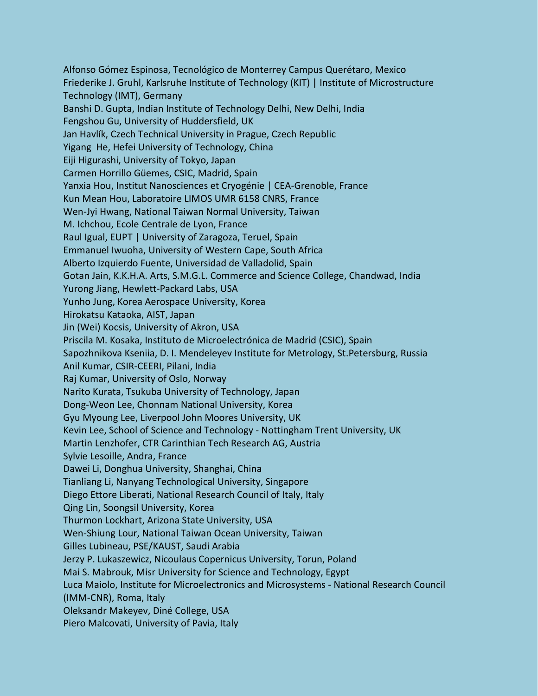Alfonso Gómez Espinosa, Tecnológico de Monterrey Campus Querétaro, Mexico Friederike J. Gruhl, Karlsruhe Institute of Technology (KIT) | Institute of Microstructure Technology (IMT), Germany Banshi D. Gupta, Indian Institute of Technology Delhi, New Delhi, India Fengshou Gu, University of Huddersfield, UK Jan Havlík, Czech Technical University in Prague, Czech Republic Yigang He, Hefei University of Technology, China Eiji Higurashi, University of Tokyo, Japan Carmen Horrillo Güemes, CSIC, Madrid, Spain Yanxia Hou, Institut Nanosciences et Cryogénie | CEA-Grenoble, France Kun Mean Hou, Laboratoire LIMOS UMR 6158 CNRS, France Wen-Jyi Hwang, National Taiwan Normal University, Taiwan M. Ichchou, Ecole Centrale de Lyon, France Raul Igual, EUPT | University of Zaragoza, Teruel, Spain Emmanuel Iwuoha, University of Western Cape, South Africa Alberto Izquierdo Fuente, Universidad de Valladolid, Spain Gotan Jain, K.K.H.A. Arts, S.M.G.L. Commerce and Science College, Chandwad, India Yurong Jiang, Hewlett-Packard Labs, USA Yunho Jung, Korea Aerospace University, Korea Hirokatsu Kataoka, AIST, Japan Jin (Wei) Kocsis, University of Akron, USA Priscila M. Kosaka, Instituto de Microelectrónica de Madrid (CSIC), Spain Sapozhnikova Kseniia, D. I. Mendeleyev Institute for Metrology, St.Petersburg, Russia Anil Kumar, CSIR-CEERI, Pilani, India Raj Kumar, University of Oslo, Norway Narito Kurata, Tsukuba University of Technology, Japan Dong-Weon Lee, Chonnam National University, Korea Gyu Myoung Lee, Liverpool John Moores University, UK Kevin Lee, School of Science and Technology - Nottingham Trent University, UK Martin Lenzhofer, CTR Carinthian Tech Research AG, Austria Sylvie Lesoille, Andra, France Dawei Li, Donghua University, Shanghai, China Tianliang Li, Nanyang Technological University, Singapore Diego Ettore Liberati, National Research Council of Italy, Italy Qing Lin, Soongsil University, Korea Thurmon Lockhart, Arizona State University, USA Wen-Shiung Lour, National Taiwan Ocean University, Taiwan Gilles Lubineau, PSE/KAUST, Saudi Arabia Jerzy P. Lukaszewicz, Nicoulaus Copernicus University, Torun, Poland Mai S. Mabrouk, Misr University for Science and Technology, Egypt Luca Maiolo, Institute for Microelectronics and Microsystems - National Research Council (IMM-CNR), Roma, Italy Oleksandr Makeyev, Diné College, USA Piero Malcovati, University of Pavia, Italy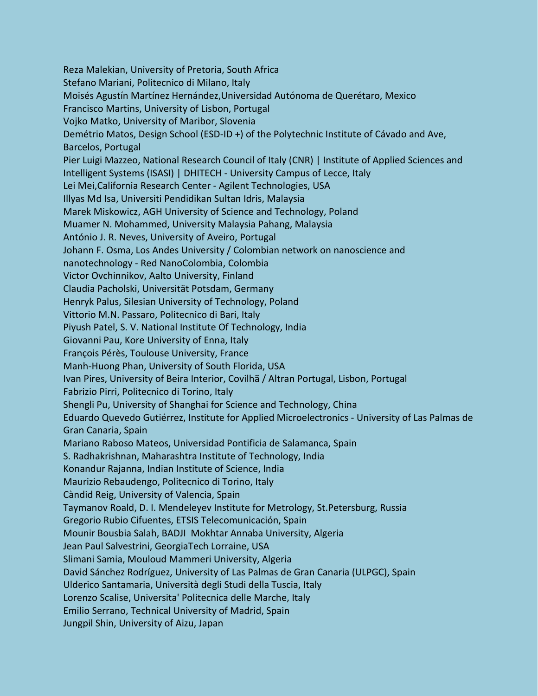Reza Malekian, University of Pretoria, South Africa Stefano Mariani, Politecnico di Milano, Italy Moisés Agustín Martínez Hernández,Universidad Autónoma de Querétaro, Mexico Francisco Martins, University of Lisbon, Portugal Vojko Matko, University of Maribor, Slovenia Demétrio Matos, Design School (ESD-ID +) of the Polytechnic Institute of Cávado and Ave, Barcelos, Portugal Pier Luigi Mazzeo, National Research Council of Italy (CNR) | Institute of Applied Sciences and Intelligent Systems (ISASI) | DHITECH - University Campus of Lecce, Italy Lei Mei,California Research Center - Agilent Technologies, USA Illyas Md Isa, Universiti Pendidikan Sultan Idris, Malaysia Marek Miskowicz, AGH University of Science and Technology, Poland Muamer N. Mohammed, University Malaysia Pahang, Malaysia António J. R. Neves, University of Aveiro, Portugal Johann F. Osma, Los Andes University / Colombian network on nanoscience and nanotechnology - Red NanoColombia, Colombia Victor Ovchinnikov, Aalto University, Finland Claudia Pacholski, Universität Potsdam, Germany Henryk Palus, Silesian University of Technology, Poland Vittorio M.N. Passaro, Politecnico di Bari, Italy Piyush Patel, S. V. National Institute Of Technology, India Giovanni Pau, Kore University of Enna, Italy François Pérès, Toulouse University, France Manh-Huong Phan, University of South Florida, USA Ivan Pires, University of Beira Interior, Covilhã / Altran Portugal, Lisbon, Portugal Fabrizio Pirri, Politecnico di Torino, Italy Shengli Pu, University of Shanghai for Science and Technology, China Eduardo Quevedo Gutiérrez, Institute for Applied Microelectronics - University of Las Palmas de Gran Canaria, Spain Mariano Raboso Mateos, Universidad Pontificia de Salamanca, Spain S. Radhakrishnan, Maharashtra Institute of Technology, India Konandur Rajanna, Indian Institute of Science, India Maurizio Rebaudengo, Politecnico di Torino, Italy Càndid Reig, University of Valencia, Spain Taymanov Roald, D. I. Mendeleyev Institute for Metrology, St.Petersburg, Russia Gregorio Rubio Cifuentes, ETSIS Telecomunicación, Spain Mounir Bousbia Salah, BADJI Mokhtar Annaba University, Algeria Jean Paul Salvestrini, GeorgiaTech Lorraine, USA Slimani Samia, Mouloud Mammeri University, Algeria David Sánchez Rodríguez, University of Las Palmas de Gran Canaria (ULPGC), Spain Ulderico Santamaria, Università degli Studi della Tuscia, Italy Lorenzo Scalise, Universita' Politecnica delle Marche, Italy Emilio Serrano, Technical University of Madrid, Spain Jungpil Shin, University of Aizu, Japan